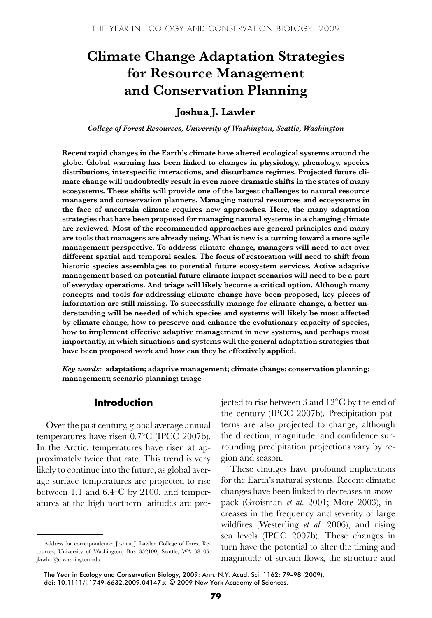# **Climate Change Adaptation Strategies for Resource Management and Conservation Planning**

# **Joshua J. Lawler**

*College of Forest Resources, University of Washington, Seattle, Washington*

**Recent rapid changes in the Earth's climate have altered ecological systems around the globe. Global warming has been linked to changes in physiology, phenology, species distributions, interspecific interactions, and disturbance regimes. Projected future climate change will undoubtedly result in even more dramatic shifts in the states of many ecosystems. These shifts will provide one of the largest challenges to natural resource managers and conservation planners. Managing natural resources and ecosystems in the face of uncertain climate requires new approaches. Here, the many adaptation strategies that have been proposed for managing natural systems in a changing climate are reviewed. Most of the recommended approaches are general principles and many are tools that managers are already using. What is new is a turning toward a more agile management perspective. To address climate change, managers will need to act over different spatial and temporal scales. The focus of restoration will need to shift from historic species assemblages to potential future ecosystem services. Active adaptive management based on potential future climate impact scenarios will need to be a part of everyday operations. And triage will likely become a critical option. Although many concepts and tools for addressing climate change have been proposed, key pieces of information are still missing. To successfully manage for climate change, a better understanding will be needed of which species and systems will likely be most affected by climate change, how to preserve and enhance the evolutionary capacity of species, how to implement effective adaptive management in new systems, and perhaps most importantly, in which situations and systems will the general adaptation strategies that have been proposed work and how can they be effectively applied.**

*Key words:* **adaptation; adaptive management; climate change; conservation planning; management; scenario planning; triage**

## **Introduction**

Over the past century, global average annual temperatures have risen 0.7◦C (IPCC 2007b). In the Arctic, temperatures have risen at approximately twice that rate. This trend is very likely to continue into the future, as global average surface temperatures are projected to rise between 1.1 and 6.4◦C by 2100, and temperatures at the high northern latitudes are projected to rise between 3 and 12◦C by the end of the century (IPCC 2007b). Precipitation patterns are also projected to change, although the direction, magnitude, and confidence surrounding precipitation projections vary by region and season.

These changes have profound implications for the Earth's natural systems. Recent climatic changes have been linked to decreases in snowpack (Groisman *et al.* 2001; Mote 2003), increases in the frequency and severity of large wildfires (Westerling *et al.* 2006), and rising sea levels (IPCC 2007b). These changes in turn have the potential to alter the timing and magnitude of stream flows, the structure and

Address for correspondence: Joshua J. Lawler, College of Forest Resources, University of Washington, Box 352100, Seattle, WA 98105. jlawler@u.washington.edu

The Year in Ecology and Conservation Biology, 2009: Ann. N.Y. Acad. Sci. 1162: 79–98 (2009). doi: 10.1111/j.1749-6632.2009.04147.x **-**<sup>C</sup> 2009 New York Academy of Sciences.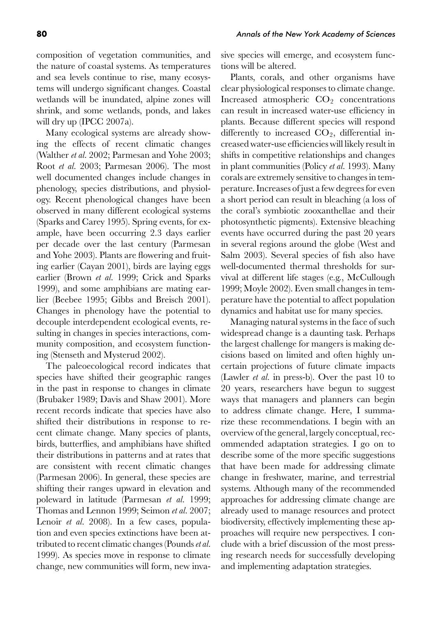composition of vegetation communities, and the nature of coastal systems. As temperatures and sea levels continue to rise, many ecosystems will undergo significant changes. Coastal wetlands will be inundated, alpine zones will shrink, and some wetlands, ponds, and lakes will dry up (IPCC 2007a).

Many ecological systems are already showing the effects of recent climatic changes (Walther *et al.* 2002; Parmesan and Yohe 2003; Root *et al.* 2003; Parmesan 2006). The most well documented changes include changes in phenology, species distributions, and physiology. Recent phenological changes have been observed in many different ecological systems (Sparks and Carey 1995). Spring events, for example, have been occurring 2.3 days earlier per decade over the last century (Parmesan and Yohe 2003). Plants are flowering and fruiting earlier (Cayan 2001), birds are laying eggs earlier (Brown *et al.* 1999; Crick and Sparks 1999), and some amphibians are mating earlier (Beebee 1995; Gibbs and Breisch 2001). Changes in phenology have the potential to decouple interdependent ecological events, resulting in changes in species interactions, community composition, and ecosystem functioning (Stenseth and Mysterud 2002).

The paleoecological record indicates that species have shifted their geographic ranges in the past in response to changes in climate (Brubaker 1989; Davis and Shaw 2001). More recent records indicate that species have also shifted their distributions in response to recent climate change. Many species of plants, birds, butterflies, and amphibians have shifted their distributions in patterns and at rates that are consistent with recent climatic changes (Parmesan 2006). In general, these species are shifting their ranges upward in elevation and poleward in latitude (Parmesan *et al.* 1999; Thomas and Lennon 1999; Seimon *et al.* 2007; Lenoir *et al.* 2008). In a few cases, population and even species extinctions have been attributed to recent climatic changes (Pounds*et al.* 1999). As species move in response to climate change, new communities will form, new invasive species will emerge, and ecosystem functions will be altered.

Plants, corals, and other organisms have clear physiological responses to climate change. Increased atmospheric  $CO<sub>2</sub>$  concentrations can result in increased water-use efficiency in plants. Because different species will respond differently to increased  $CO<sub>2</sub>$ , differential increased water-use efficiencies will likely result in shifts in competitive relationships and changes in plant communities (Policy *et al.* 1993). Many corals are extremely sensitive to changes in temperature. Increases of just a few degrees for even a short period can result in bleaching (a loss of the coral's symbiotic zooxanthellae and their photosynthetic pigments). Extensive bleaching events have occurred during the past 20 years in several regions around the globe (West and Salm 2003). Several species of fish also have well-documented thermal thresholds for survival at different life stages (e.g., McCullough 1999; Moyle 2002). Even small changes in temperature have the potential to affect population dynamics and habitat use for many species.

Managing natural systems in the face of such widespread change is a daunting task. Perhaps the largest challenge for mangers is making decisions based on limited and often highly uncertain projections of future climate impacts (Lawler *et al.* in press-b). Over the past 10 to 20 years, researchers have begun to suggest ways that managers and planners can begin to address climate change. Here, I summarize these recommendations. I begin with an overview of the general, largely conceptual, recommended adaptation strategies. I go on to describe some of the more specific suggestions that have been made for addressing climate change in freshwater, marine, and terrestrial systems. Although many of the recommended approaches for addressing climate change are already used to manage resources and protect biodiversity, effectively implementing these approaches will require new perspectives. I conclude with a brief discussion of the most pressing research needs for successfully developing and implementing adaptation strategies.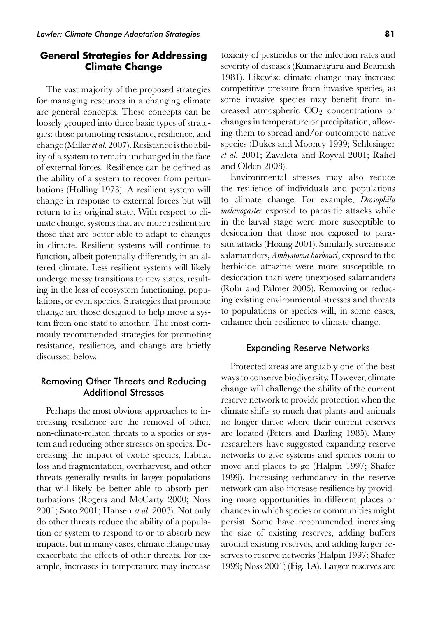# **General Strategies for Addressing Climate Change**

The vast majority of the proposed strategies for managing resources in a changing climate are general concepts. These concepts can be loosely grouped into three basic types of strategies: those promoting resistance, resilience, and change (Millar*et al.* 2007). Resistance is the ability of a system to remain unchanged in the face of external forces. Resilience can be defined as the ability of a system to recover from perturbations (Holling 1973). A resilient system will change in response to external forces but will return to its original state. With respect to climate change, systems that are more resilient are those that are better able to adapt to changes in climate. Resilient systems will continue to function, albeit potentially differently, in an altered climate. Less resilient systems will likely undergo messy transitions to new states, resulting in the loss of ecosystem functioning, populations, or even species. Strategies that promote change are those designed to help move a system from one state to another. The most commonly recommended strategies for promoting resistance, resilience, and change are briefly discussed below.

# Removing Other Threats and Reducing Additional Stresses

Perhaps the most obvious approaches to increasing resilience are the removal of other, non-climate-related threats to a species or system and reducing other stresses on species. Decreasing the impact of exotic species, habitat loss and fragmentation, overharvest, and other threats generally results in larger populations that will likely be better able to absorb perturbations (Rogers and McCarty 2000; Noss 2001; Soto 2001; Hansen *et al.* 2003). Not only do other threats reduce the ability of a population or system to respond to or to absorb new impacts, but in many cases, climate change may exacerbate the effects of other threats. For example, increases in temperature may increase toxicity of pesticides or the infection rates and severity of diseases (Kumaraguru and Beamish 1981). Likewise climate change may increase competitive pressure from invasive species, as some invasive species may benefit from increased atmospheric  $CO<sub>2</sub>$  concentrations or changes in temperature or precipitation, allowing them to spread and/or outcompete native species (Dukes and Mooney 1999; Schlesinger *et al.* 2001; Zavaleta and Royval 2001; Rahel and Olden 2008).

Environmental stresses may also reduce the resilience of individuals and populations to climate change. For example, *Drosophila melanogaster* exposed to parasitic attacks while in the larval stage were more susceptible to desiccation that those not exposed to parasitic attacks (Hoang 2001). Similarly, streamside salamanders, *Ambystoma barbouri*, exposed to the herbicide atrazine were more susceptible to desiccation than were unexposed salamanders (Rohr and Palmer 2005). Removing or reducing existing environmental stresses and threats to populations or species will, in some cases, enhance their resilience to climate change.

#### Expanding Reserve Networks

Protected areas are arguably one of the best ways to conserve biodiversity. However, climate change will challenge the ability of the current reserve network to provide protection when the climate shifts so much that plants and animals no longer thrive where their current reserves are located (Peters and Darling 1985). Many researchers have suggested expanding reserve networks to give systems and species room to move and places to go (Halpin 1997; Shafer 1999). Increasing redundancy in the reserve network can also increase resilience by providing more opportunities in different places or chances in which species or communities might persist. Some have recommended increasing the size of existing reserves, adding buffers around existing reserves, and adding larger reserves to reserve networks (Halpin 1997; Shafer 1999; Noss 2001) (Fig. 1A). Larger reserves are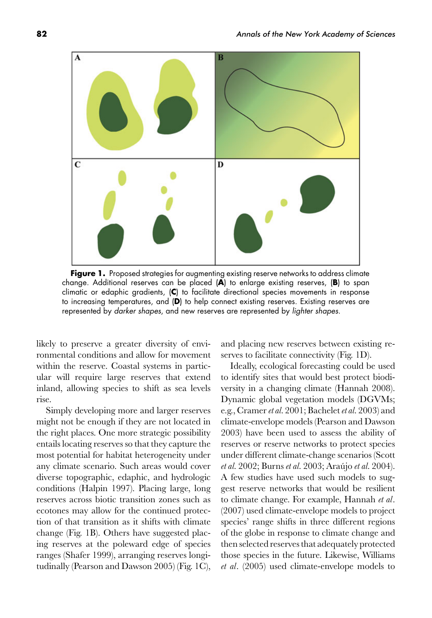

**Figure 1.** Proposed strategies for augmenting existing reserve networks to address climate change. Additional reserves can be placed (**A**) to enlarge existing reserves, (**B**) to span climatic or edaphic gradients, (**C**) to facilitate directional species movements in response to increasing temperatures, and (**D**) to help connect existing reserves. Existing reserves are represented by darker shapes, and new reserves are represented by lighter shapes.

likely to preserve a greater diversity of environmental conditions and allow for movement within the reserve. Coastal systems in particular will require large reserves that extend inland, allowing species to shift as sea levels rise.

Simply developing more and larger reserves might not be enough if they are not located in the right places. One more strategic possibility entails locating reserves so that they capture the most potential for habitat heterogeneity under any climate scenario. Such areas would cover diverse topographic, edaphic, and hydrologic conditions (Halpin 1997). Placing large, long reserves across biotic transition zones such as ecotones may allow for the continued protection of that transition as it shifts with climate change (Fig. 1B). Others have suggested placing reserves at the poleward edge of species ranges (Shafer 1999), arranging reserves longitudinally (Pearson and Dawson 2005) (Fig. 1C), and placing new reserves between existing reserves to facilitate connectivity (Fig. 1D).

Ideally, ecological forecasting could be used to identify sites that would best protect biodiversity in a changing climate (Hannah 2008). Dynamic global vegetation models (DGVMs; e.g., Cramer*et al.* 2001; Bachelet *et al.* 2003) and climate-envelope models (Pearson and Dawson 2003) have been used to assess the ability of reserves or reserve networks to protect species under different climate-change scenarios (Scott *et al.* 2002; Burns *et al.* 2003; Araújo *et al.* 2004). A few studies have used such models to suggest reserve networks that would be resilient to climate change. For example, Hannah *et al*. (2007) used climate-envelope models to project species' range shifts in three different regions of the globe in response to climate change and then selected reserves that adequately protected those species in the future. Likewise, Williams *et al*. (2005) used climate-envelope models to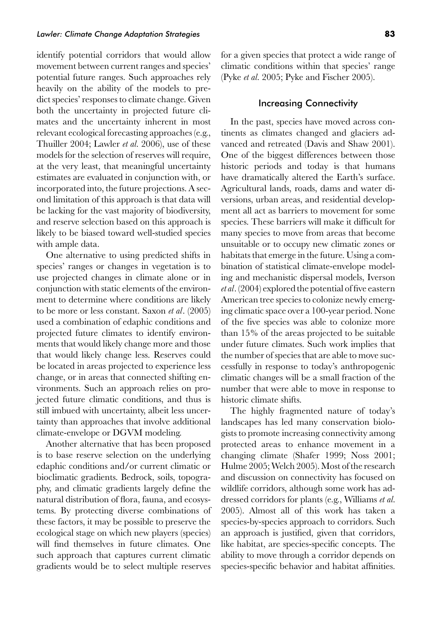identify potential corridors that would allow movement between current ranges and species' potential future ranges. Such approaches rely heavily on the ability of the models to predict species' responses to climate change. Given both the uncertainty in projected future climates and the uncertainty inherent in most relevant ecological forecasting approaches (e.g., Thuiller 2004; Lawler *et al.* 2006), use of these models for the selection of reserves will require, at the very least, that meaningful uncertainty estimates are evaluated in conjunction with, or incorporated into, the future projections. A second limitation of this approach is that data will be lacking for the vast majority of biodiversity, and reserve selection based on this approach is likely to be biased toward well-studied species with ample data.

One alternative to using predicted shifts in species' ranges or changes in vegetation is to use projected changes in climate alone or in conjunction with static elements of the environment to determine where conditions are likely to be more or less constant. Saxon *et al*. (2005) used a combination of edaphic conditions and projected future climates to identify environments that would likely change more and those that would likely change less. Reserves could be located in areas projected to experience less change, or in areas that connected shifting environments. Such an approach relies on projected future climatic conditions, and thus is still imbued with uncertainty, albeit less uncertainty than approaches that involve additional climate-envelope or DGVM modeling.

Another alternative that has been proposed is to base reserve selection on the underlying edaphic conditions and/or current climatic or bioclimatic gradients. Bedrock, soils, topography, and climatic gradients largely define the natural distribution of flora, fauna, and ecosystems. By protecting diverse combinations of these factors, it may be possible to preserve the ecological stage on which new players (species) will find themselves in future climates. One such approach that captures current climatic gradients would be to select multiple reserves

for a given species that protect a wide range of climatic conditions within that species' range (Pyke *et al.* 2005; Pyke and Fischer 2005).

#### Increasing Connectivity

In the past, species have moved across continents as climates changed and glaciers advanced and retreated (Davis and Shaw 2001). One of the biggest differences between those historic periods and today is that humans have dramatically altered the Earth's surface. Agricultural lands, roads, dams and water diversions, urban areas, and residential development all act as barriers to movement for some species. These barriers will make it difficult for many species to move from areas that become unsuitable or to occupy new climatic zones or habitats that emerge in the future. Using a combination of statistical climate-envelope modeling and mechanistic dispersal models, Iverson *et al*. (2004) explored the potential of five eastern American tree species to colonize newly emerging climatic space over a 100-year period. None of the five species was able to colonize more than 15% of the areas projected to be suitable under future climates. Such work implies that the number of species that are able to move successfully in response to today's anthropogenic climatic changes will be a small fraction of the number that were able to move in response to historic climate shifts.

The highly fragmented nature of today's landscapes has led many conservation biologists to promote increasing connectivity among protected areas to enhance movement in a changing climate (Shafer 1999; Noss 2001; Hulme 2005; Welch 2005). Most of the research and discussion on connectivity has focused on wildlife corridors, although some work has addressed corridors for plants (e.g., Williams *et al.* 2005). Almost all of this work has taken a species-by-species approach to corridors. Such an approach is justified, given that corridors, like habitat, are species-specific concepts. The ability to move through a corridor depends on species-specific behavior and habitat affinities.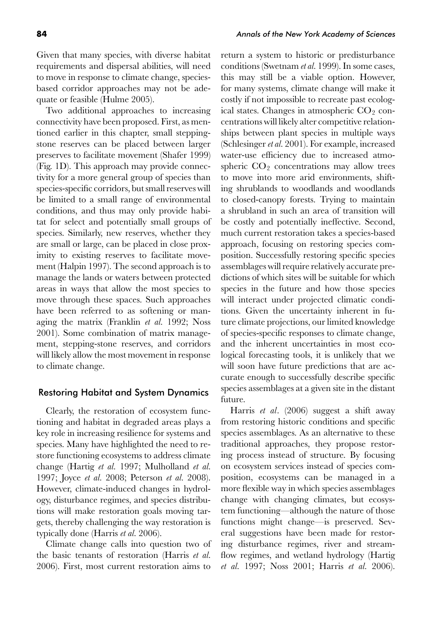Given that many species, with diverse habitat requirements and dispersal abilities, will need to move in response to climate change, speciesbased corridor approaches may not be adequate or feasible (Hulme 2005).

Two additional approaches to increasing connectivity have been proposed. First, as mentioned earlier in this chapter, small steppingstone reserves can be placed between larger preserves to facilitate movement (Shafer 1999) (Fig. 1D). This approach may provide connectivity for a more general group of species than species-specific corridors, but small reserves will be limited to a small range of environmental conditions, and thus may only provide habitat for select and potentially small groups of species. Similarly, new reserves, whether they are small or large, can be placed in close proximity to existing reserves to facilitate movement (Halpin 1997). The second approach is to manage the lands or waters between protected areas in ways that allow the most species to move through these spaces. Such approaches have been referred to as softening or managing the matrix (Franklin *et al.* 1992; Noss 2001). Some combination of matrix management, stepping-stone reserves, and corridors will likely allow the most movement in response to climate change.

## Restoring Habitat and System Dynamics

Clearly, the restoration of ecosystem functioning and habitat in degraded areas plays a key role in increasing resilience for systems and species. Many have highlighted the need to restore functioning ecosystems to address climate change (Hartig *et al.* 1997; Mulholland *et al.* 1997; Joyce *et al.* 2008; Peterson *et al.* 2008). However, climate-induced changes in hydrology, disturbance regimes, and species distributions will make restoration goals moving targets, thereby challenging the way restoration is typically done (Harris *et al.* 2006).

Climate change calls into question two of the basic tenants of restoration (Harris *et al.* 2006). First, most current restoration aims to

return a system to historic or predisturbance conditions (Swetnam *et al.* 1999). In some cases, this may still be a viable option. However, for many systems, climate change will make it costly if not impossible to recreate past ecological states. Changes in atmospheric  $CO<sub>2</sub>$  concentrations will likely alter competitive relationships between plant species in multiple ways (Schlesinger *et al.* 2001). For example, increased water-use efficiency due to increased atmospheric  $CO<sub>2</sub>$  concentrations may allow trees to move into more arid environments, shifting shrublands to woodlands and woodlands to closed-canopy forests. Trying to maintain a shrubland in such an area of transition will be costly and potentially ineffective. Second, much current restoration takes a species-based approach, focusing on restoring species composition. Successfully restoring specific species assemblages will require relatively accurate predictions of which sites will be suitable for which species in the future and how those species will interact under projected climatic conditions. Given the uncertainty inherent in future climate projections, our limited knowledge of species-specific responses to climate change, and the inherent uncertainties in most ecological forecasting tools, it is unlikely that we will soon have future predictions that are accurate enough to successfully describe specific species assemblages at a given site in the distant future.

Harris *et al*. (2006) suggest a shift away from restoring historic conditions and specific species assemblages. As an alternative to these traditional approaches, they propose restoring process instead of structure. By focusing on ecosystem services instead of species composition, ecosystems can be managed in a more flexible way in which species assemblages change with changing climates, but ecosystem functioning—although the nature of those functions might change—is preserved. Several suggestions have been made for restoring disturbance regimes, river and streamflow regimes, and wetland hydrology (Hartig *et al.* 1997; Noss 2001; Harris *et al.* 2006).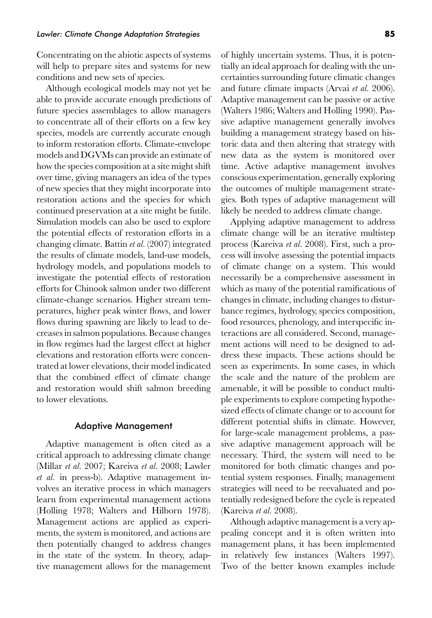Concentrating on the abiotic aspects of systems will help to prepare sites and systems for new conditions and new sets of species.

Although ecological models may not yet be able to provide accurate enough predictions of future species assemblages to allow managers to concentrate all of their efforts on a few key species, models are currently accurate enough to inform restoration efforts. Climate-envelope models and DGVMs can provide an estimate of how the species composition at a site might shift over time, giving managers an idea of the types of new species that they might incorporate into restoration actions and the species for which continued preservation at a site might be futile. Simulation models can also be used to explore the potential effects of restoration efforts in a changing climate. Battin *et al.* (2007) integrated the results of climate models, land-use models, hydrology models, and populations models to investigate the potential effects of restoration efforts for Chinook salmon under two different climate-change scenarios. Higher stream temperatures, higher peak winter flows, and lower flows during spawning are likely to lead to decreases in salmon populations. Because changes in flow regimes had the largest effect at higher elevations and restoration efforts were concentrated at lower elevations, their model indicated that the combined effect of climate change and restoration would shift salmon breeding to lower elevations.

#### Adaptive Management

Adaptive management is often cited as a critical approach to addressing climate change (Millar *et al.* 2007; Kareiva *et al.* 2008; Lawler *et al.* in press-b). Adaptive management involves an iterative process in which managers learn from experimental management actions (Holling 1978; Walters and Hilborn 1978). Management actions are applied as experiments, the system is monitored, and actions are then potentially changed to address changes in the state of the system. In theory, adaptive management allows for the management of highly uncertain systems. Thus, it is potentially an ideal approach for dealing with the uncertainties surrounding future climatic changes and future climate impacts (Arvai *et al.* 2006). Adaptive management can be passive or active (Walters 1986; Walters and Holling 1990). Passive adaptive management generally involves building a management strategy based on historic data and then altering that strategy with new data as the system is monitored over time. Active adaptive management involves conscious experimentation, generally exploring the outcomes of multiple management strategies. Both types of adaptive management will likely be needed to address climate change.

Applying adaptive management to address climate change will be an iterative multistep process (Kareiva *et al.* 2008). First, such a process will involve assessing the potential impacts of climate change on a system. This would necessarily be a comprehensive assessment in which as many of the potential ramifications of changes in climate, including changes to disturbance regimes, hydrology, species composition, food resources, phenology, and interspecific interactions are all considered. Second, management actions will need to be designed to address these impacts. These actions should be seen as experiments. In some cases, in which the scale and the nature of the problem are amenable, it will be possible to conduct multiple experiments to explore competing hypothesized effects of climate change or to account for different potential shifts in climate. However, for large-scale management problems, a passive adaptive management approach will be necessary. Third, the system will need to be monitored for both climatic changes and potential system responses. Finally, management strategies will need to be reevaluated and potentially redesigned before the cycle is repeated (Kareiva *et al.* 2008).

Although adaptive management is a very appealing concept and it is often written into management plans, it has been implemented in relatively few instances (Walters 1997). Two of the better known examples include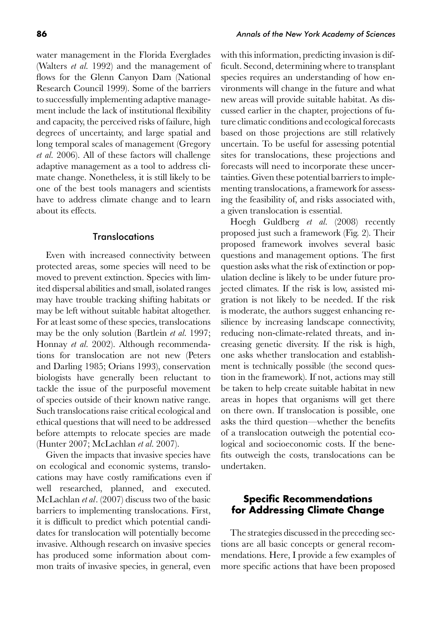water management in the Florida Everglades (Walters *et al.* 1992) and the management of flows for the Glenn Canyon Dam (National Research Council 1999). Some of the barriers to successfully implementing adaptive management include the lack of institutional flexibility and capacity, the perceived risks of failure, high degrees of uncertainty, and large spatial and long temporal scales of management (Gregory *et al.* 2006). All of these factors will challenge adaptive management as a tool to address climate change. Nonetheless, it is still likely to be one of the best tools managers and scientists have to address climate change and to learn about its effects.

#### **Translocations**

Even with increased connectivity between protected areas, some species will need to be moved to prevent extinction. Species with limited dispersal abilities and small, isolated ranges may have trouble tracking shifting habitats or may be left without suitable habitat altogether. For at least some of these species, translocations may be the only solution (Bartlein *et al.* 1997; Honnay *et al.* 2002). Although recommendations for translocation are not new (Peters and Darling 1985; Orians 1993), conservation biologists have generally been reluctant to tackle the issue of the purposeful movement of species outside of their known native range. Such translocations raise critical ecological and ethical questions that will need to be addressed before attempts to relocate species are made (Hunter 2007; McLachlan *et al.* 2007).

Given the impacts that invasive species have on ecological and economic systems, translocations may have costly ramifications even if well researched, planned, and executed. McLachlan *et al*. (2007) discuss two of the basic barriers to implementing translocations. First, it is difficult to predict which potential candidates for translocation will potentially become invasive. Although research on invasive species has produced some information about common traits of invasive species, in general, even

with this information, predicting invasion is difficult. Second, determining where to transplant species requires an understanding of how environments will change in the future and what new areas will provide suitable habitat. As discussed earlier in the chapter, projections of future climatic conditions and ecological forecasts based on those projections are still relatively uncertain. To be useful for assessing potential sites for translocations, these projections and forecasts will need to incorporate these uncertainties. Given these potential barriers to implementing translocations, a framework for assessing the feasibility of, and risks associated with, a given translocation is essential.

Hoegh Guldberg *et al.* (2008) recently proposed just such a framework (Fig. 2). Their proposed framework involves several basic questions and management options. The first question asks what the risk of extinction or population decline is likely to be under future projected climates. If the risk is low, assisted migration is not likely to be needed. If the risk is moderate, the authors suggest enhancing resilience by increasing landscape connectivity, reducing non-climate-related threats, and increasing genetic diversity. If the risk is high, one asks whether translocation and establishment is technically possible (the second question in the framework). If not, actions may still be taken to help create suitable habitat in new areas in hopes that organisms will get there on there own. If translocation is possible, one asks the third question—whether the benefits of a translocation outweigh the potential ecological and socioeconomic costs. If the benefits outweigh the costs, translocations can be undertaken.

## **Specific Recommendations for Addressing Climate Change**

The strategies discussed in the preceding sections are all basic concepts or general recommendations. Here, I provide a few examples of more specific actions that have been proposed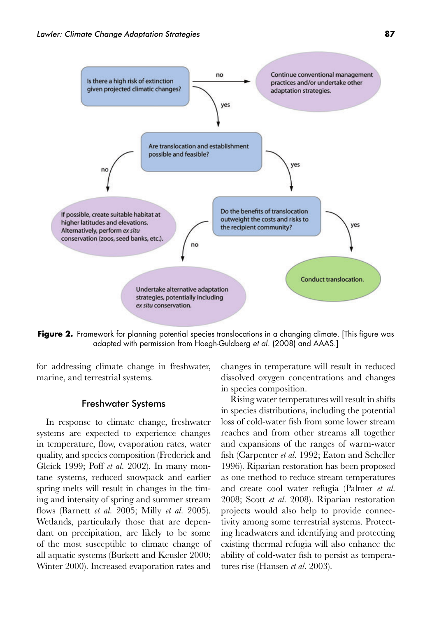

**Figure 2.** Framework for planning potential species translocations in a changing climate. [This figure was adapted with permission from Hoegh-Guldberg et al. (2008) and AAAS.]

for addressing climate change in freshwater, marine, and terrestrial systems.

## Freshwater Systems

In response to climate change, freshwater systems are expected to experience changes in temperature, flow, evaporation rates, water quality, and species composition (Frederick and Gleick 1999; Poff *et al.* 2002). In many montane systems, reduced snowpack and earlier spring melts will result in changes in the timing and intensity of spring and summer stream flows (Barnett *et al.* 2005; Milly *et al.* 2005). Wetlands, particularly those that are dependant on precipitation, are likely to be some of the most susceptible to climate change of all aquatic systems (Burkett and Keusler 2000; Winter 2000). Increased evaporation rates and

changes in temperature will result in reduced dissolved oxygen concentrations and changes in species composition.

Rising water temperatures will result in shifts in species distributions, including the potential loss of cold-water fish from some lower stream reaches and from other streams all together and expansions of the ranges of warm-water fish (Carpenter *et al.* 1992; Eaton and Scheller 1996). Riparian restoration has been proposed as one method to reduce stream temperatures and create cool water refugia (Palmer *et al.* 2008; Scott *et al.* 2008). Riparian restoration projects would also help to provide connectivity among some terrestrial systems. Protecting headwaters and identifying and protecting existing thermal refugia will also enhance the ability of cold-water fish to persist as temperatures rise (Hansen *et al.* 2003).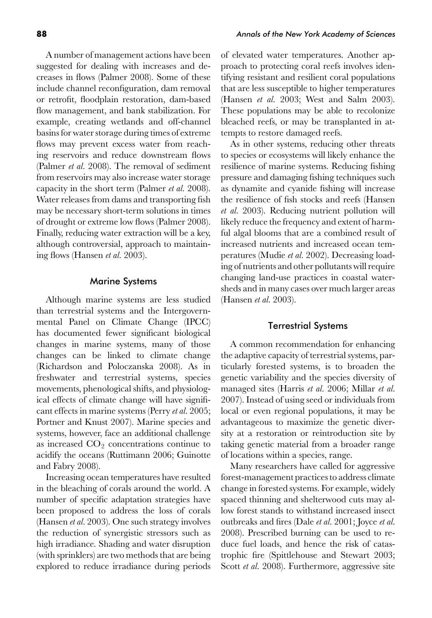A number of management actions have been suggested for dealing with increases and decreases in flows (Palmer 2008). Some of these include channel reconfiguration, dam removal or retrofit, floodplain restoration, dam-based flow management, and bank stabilization. For example, creating wetlands and off-channel basins for water storage during times of extreme flows may prevent excess water from reaching reservoirs and reduce downstream flows (Palmer *et al.* 2008). The removal of sediment from reservoirs may also increase water storage capacity in the short term (Palmer *et al.* 2008). Water releases from dams and transporting fish may be necessary short-term solutions in times of drought or extreme low flows (Palmer 2008). Finally, reducing water extraction will be a key, although controversial, approach to maintaining flows (Hansen *et al.* 2003).

## Marine Systems

Although marine systems are less studied than terrestrial systems and the Intergovernmental Panel on Climate Change (IPCC) has documented fewer significant biological changes in marine systems, many of those changes can be linked to climate change (Richardson and Poloczanska 2008). As in freshwater and terrestrial systems, species movements, phenological shifts, and physiological effects of climate change will have significant effects in marine systems (Perry *et al.* 2005; Portner and Knust 2007). Marine species and systems, however, face an additional challenge as increased  $CO<sub>2</sub>$  concentrations continue to acidify the oceans (Ruttimann 2006; Guinotte and Fabry 2008).

Increasing ocean temperatures have resulted in the bleaching of corals around the world. A number of specific adaptation strategies have been proposed to address the loss of corals (Hansen *et al.* 2003). One such strategy involves the reduction of synergistic stressors such as high irradiance. Shading and water disruption (with sprinklers) are two methods that are being explored to reduce irradiance during periods of elevated water temperatures. Another approach to protecting coral reefs involves identifying resistant and resilient coral populations that are less susceptible to higher temperatures (Hansen *et al.* 2003; West and Salm 2003). These populations may be able to recolonize bleached reefs, or may be transplanted in attempts to restore damaged reefs.

As in other systems, reducing other threats to species or ecosystems will likely enhance the resilience of marine systems. Reducing fishing pressure and damaging fishing techniques such as dynamite and cyanide fishing will increase the resilience of fish stocks and reefs (Hansen *et al.* 2003). Reducing nutrient pollution will likely reduce the frequency and extent of harmful algal blooms that are a combined result of increased nutrients and increased ocean temperatures (Mudie *et al.* 2002). Decreasing loading of nutrients and other pollutants will require changing land-use practices in coastal watersheds and in many cases over much larger areas (Hansen *et al.* 2003).

## Terrestrial Systems

A common recommendation for enhancing the adaptive capacity of terrestrial systems, particularly forested systems, is to broaden the genetic variability and the species diversity of managed sites (Harris *et al.* 2006; Millar *et al.* 2007). Instead of using seed or individuals from local or even regional populations, it may be advantageous to maximize the genetic diversity at a restoration or reintroduction site by taking genetic material from a broader range of locations within a species, range.

Many researchers have called for aggressive forest-management practices to address climate change in forested systems. For example, widely spaced thinning and shelterwood cuts may allow forest stands to withstand increased insect outbreaks and fires (Dale *et al.* 2001; Joyce *et al.* 2008). Prescribed burning can be used to reduce fuel loads, and hence the risk of catastrophic fire (Spittlehouse and Stewart 2003; Scott *et al.* 2008). Furthermore, aggressive site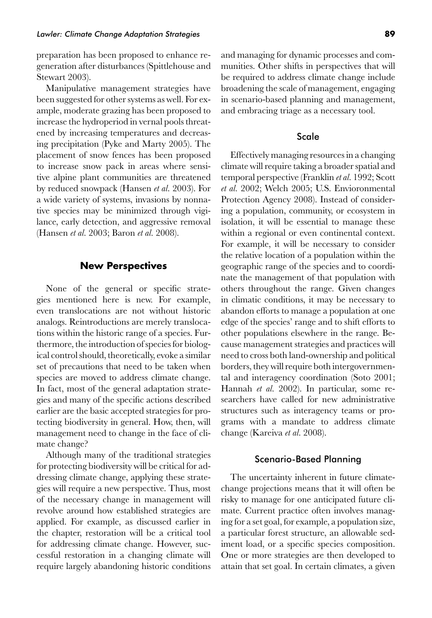preparation has been proposed to enhance regeneration after disturbances (Spittlehouse and Stewart 2003).

Manipulative management strategies have been suggested for other systems as well. For example, moderate grazing has been proposed to increase the hydroperiod in vernal pools threatened by increasing temperatures and decreasing precipitation (Pyke and Marty 2005). The placement of snow fences has been proposed to increase snow pack in areas where sensitive alpine plant communities are threatened by reduced snowpack (Hansen *et al.* 2003). For a wide variety of systems, invasions by nonnative species may be minimized through vigilance, early detection, and aggressive removal (Hansen *et al.* 2003; Baron *et al.* 2008).

## **New Perspectives**

None of the general or specific strategies mentioned here is new. For example, even translocations are not without historic analogs. Reintroductions are merely translocations within the historic range of a species. Furthermore, the introduction of species for biological control should, theoretically, evoke a similar set of precautions that need to be taken when species are moved to address climate change. In fact, most of the general adaptation strategies and many of the specific actions described earlier are the basic accepted strategies for protecting biodiversity in general. How, then, will management need to change in the face of climate change?

Although many of the traditional strategies for protecting biodiversity will be critical for addressing climate change, applying these strategies will require a new perspective. Thus, most of the necessary change in management will revolve around how established strategies are applied. For example, as discussed earlier in the chapter, restoration will be a critical tool for addressing climate change. However, successful restoration in a changing climate will require largely abandoning historic conditions and managing for dynamic processes and communities. Other shifts in perspectives that will be required to address climate change include broadening the scale of management, engaging in scenario-based planning and management, and embracing triage as a necessary tool.

#### Scale

Effectively managing resources in a changing climate will require taking a broader spatial and temporal perspective (Franklin *et al.* 1992; Scott *et al.* 2002; Welch 2005; U.S. Envioronmental Protection Agency 2008). Instead of considering a population, community, or ecosystem in isolation, it will be essential to manage these within a regional or even continental context. For example, it will be necessary to consider the relative location of a population within the geographic range of the species and to coordinate the management of that population with others throughout the range. Given changes in climatic conditions, it may be necessary to abandon efforts to manage a population at one edge of the species' range and to shift efforts to other populations elsewhere in the range. Because management strategies and practices will need to cross both land-ownership and political borders, they will require both intergovernmental and interagency coordination (Soto 2001; Hannah *et al.* 2002). In particular, some researchers have called for new administrative structures such as interagency teams or programs with a mandate to address climate change (Kareiva *et al.* 2008).

#### Scenario-Based Planning

The uncertainty inherent in future climatechange projections means that it will often be risky to manage for one anticipated future climate. Current practice often involves managing for a set goal, for example, a population size, a particular forest structure, an allowable sediment load, or a specific species composition. One or more strategies are then developed to attain that set goal. In certain climates, a given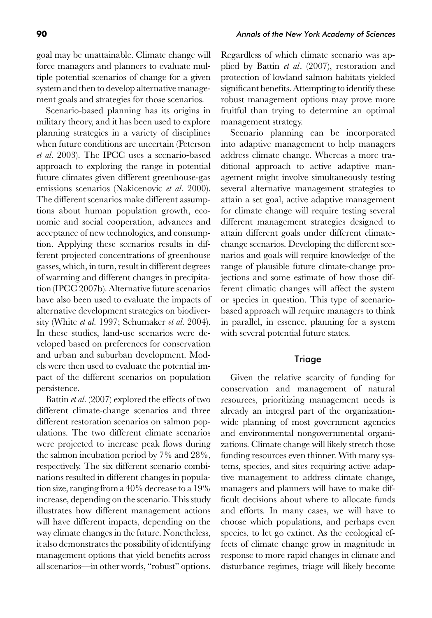goal may be unattainable. Climate change will force managers and planners to evaluate multiple potential scenarios of change for a given system and then to develop alternative management goals and strategies for those scenarios.

Scenario-based planning has its origins in military theory, and it has been used to explore planning strategies in a variety of disciplines when future conditions are uncertain (Peterson *et al.* 2003). The IPCC uses a scenario-based approach to exploring the range in potential future climates given different greenhouse-gas emissions scenarios (Nakicenovic *et al.* 2000). The different scenarios make different assumptions about human population growth, economic and social cooperation, advances and acceptance of new technologies, and consumption. Applying these scenarios results in different projected concentrations of greenhouse gasses, which, in turn, result in different degrees of warming and different changes in precipitation (IPCC 2007b). Alternative future scenarios have also been used to evaluate the impacts of alternative development strategies on biodiversity (White *et al.* 1997; Schumaker *et al.* 2004). In these studies, land-use scenarios were developed based on preferences for conservation and urban and suburban development. Models were then used to evaluate the potential impact of the different scenarios on population persistence.

Battin *et al.* (2007) explored the effects of two different climate-change scenarios and three different restoration scenarios on salmon populations. The two different climate scenarios were projected to increase peak flows during the salmon incubation period by 7% and 28%, respectively. The six different scenario combinations resulted in different changes in population size, ranging from a 40% decrease to a 19% increase, depending on the scenario. This study illustrates how different management actions will have different impacts, depending on the way climate changes in the future. Nonetheless, it also demonstrates the possibility of identifying management options that yield benefits across all scenarios—in other words, "robust" options. Regardless of which climate scenario was applied by Battin *et al*. (2007), restoration and protection of lowland salmon habitats yielded significant benefits. Attempting to identify these robust management options may prove more fruitful than trying to determine an optimal management strategy.

Scenario planning can be incorporated into adaptive management to help managers address climate change. Whereas a more traditional approach to active adaptive management might involve simultaneously testing several alternative management strategies to attain a set goal, active adaptive management for climate change will require testing several different management strategies designed to attain different goals under different climatechange scenarios. Developing the different scenarios and goals will require knowledge of the range of plausible future climate-change projections and some estimate of how those different climatic changes will affect the system or species in question. This type of scenariobased approach will require managers to think in parallel, in essence, planning for a system with several potential future states.

## **Triage**

Given the relative scarcity of funding for conservation and management of natural resources, prioritizing management needs is already an integral part of the organizationwide planning of most government agencies and environmental nongovernmental organizations. Climate change will likely stretch those funding resources even thinner. With many systems, species, and sites requiring active adaptive management to address climate change, managers and planners will have to make difficult decisions about where to allocate funds and efforts. In many cases, we will have to choose which populations, and perhaps even species, to let go extinct. As the ecological effects of climate change grow in magnitude in response to more rapid changes in climate and disturbance regimes, triage will likely become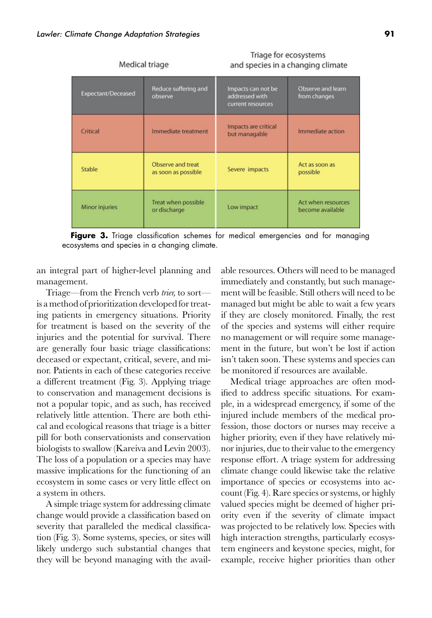Medical triage

| Expectant/Deceased    | Reduce suffering and<br>observe          | Impacts can not be<br>addressed with<br>current resources | Observe and learn<br>from changes      |
|-----------------------|------------------------------------------|-----------------------------------------------------------|----------------------------------------|
| Critical              | Immediate treatment                      | Impacts are critical<br>but managable                     | Immediate action                       |
| Stable                | Observe and treat<br>as soon as possible | Severe impacts                                            | Act as soon as<br>possible             |
| <b>Minor injuries</b> | Treat when possible<br>or discharge      | Low impact                                                | Act when resources<br>become available |

Triage for ecosystems and species in a changing climate

**Figure 3.** Triage classification schemes for medical emergencies and for managing ecosystems and species in a changing climate.

an integral part of higher-level planning and management.

Triage—from the French verb *trier,* to sort is a method of prioritization developed for treating patients in emergency situations. Priority for treatment is based on the severity of the injuries and the potential for survival. There are generally four basic triage classifications: deceased or expectant, critical, severe, and minor. Patients in each of these categories receive a different treatment (Fig. 3). Applying triage to conservation and management decisions is not a popular topic, and as such, has received relatively little attention. There are both ethical and ecological reasons that triage is a bitter pill for both conservationists and conservation biologists to swallow (Kareiva and Levin 2003). The loss of a population or a species may have massive implications for the functioning of an ecosystem in some cases or very little effect on a system in others.

A simple triage system for addressing climate change would provide a classification based on severity that paralleled the medical classification (Fig. 3). Some systems, species, or sites will likely undergo such substantial changes that they will be beyond managing with the available resources. Others will need to be managed immediately and constantly, but such management will be feasible. Still others will need to be managed but might be able to wait a few years if they are closely monitored. Finally, the rest of the species and systems will either require no management or will require some management in the future, but won't be lost if action isn't taken soon. These systems and species can be monitored if resources are available.

Medical triage approaches are often modified to address specific situations. For example, in a widespread emergency, if some of the injured include members of the medical profession, those doctors or nurses may receive a higher priority, even if they have relatively minor injuries, due to their value to the emergency response effort. A triage system for addressing climate change could likewise take the relative importance of species or ecosystems into account (Fig. 4). Rare species or systems, or highly valued species might be deemed of higher priority even if the severity of climate impact was projected to be relatively low. Species with high interaction strengths, particularly ecosystem engineers and keystone species, might, for example, receive higher priorities than other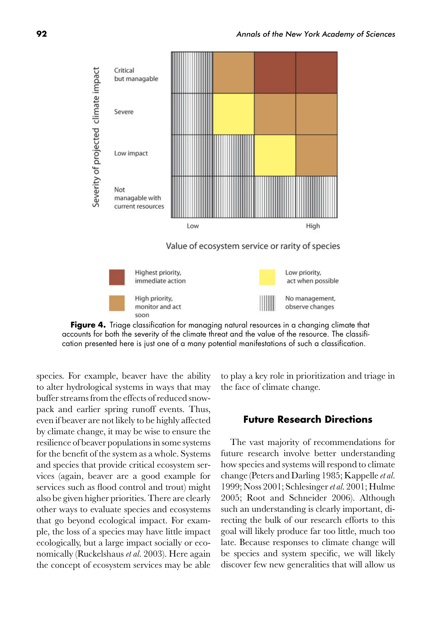

**Figure 4.** Triage classification for managing natural resources in a changing climate that accounts for both the severity of the climate threat and the value of the resource. The classification presented here is just one of a many potential manifestations of such a classification.

species. For example, beaver have the ability to alter hydrological systems in ways that may buffer streams from the effects of reduced snowpack and earlier spring runoff events. Thus, even if beaver are not likely to be highly affected by climate change, it may be wise to ensure the resilience of beaver populations in some systems for the benefit of the system as a whole. Systems and species that provide critical ecosystem services (again, beaver are a good example for services such as flood control and trout) might also be given higher priorities. There are clearly other ways to evaluate species and ecosystems that go beyond ecological impact. For example, the loss of a species may have little impact ecologically, but a large impact socially or economically (Ruckelshaus *et al.* 2003). Here again the concept of ecosystem services may be able to play a key role in prioritization and triage in the face of climate change.

# **Future Research Directions**

The vast majority of recommendations for future research involve better understanding how species and systems will respond to climate change (Peters and Darling 1985; Kappelle *et al.* 1999; Noss 2001; Schlesinger*et al.* 2001; Hulme 2005; Root and Schneider 2006). Although such an understanding is clearly important, directing the bulk of our research efforts to this goal will likely produce far too little, much too late. Because responses to climate change will be species and system specific, we will likely discover few new generalities that will allow us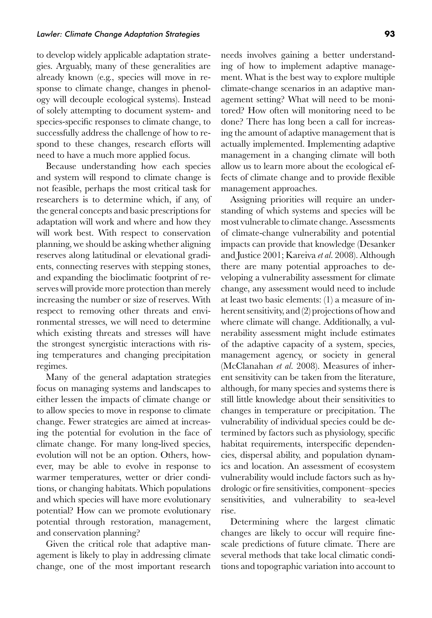to develop widely applicable adaptation strategies. Arguably, many of these generalities are already known (e.g., species will move in response to climate change, changes in phenology will decouple ecological systems). Instead of solely attempting to document system- and species-specific responses to climate change, to successfully address the challenge of how to respond to these changes, research efforts will need to have a much more applied focus.

Because understanding how each species and system will respond to climate change is not feasible, perhaps the most critical task for researchers is to determine which, if any, of the general concepts and basic prescriptions for adaptation will work and where and how they will work best. With respect to conservation planning, we should be asking whether aligning reserves along latitudinal or elevational gradients, connecting reserves with stepping stones, and expanding the bioclimatic footprint of reserves will provide more protection than merely increasing the number or size of reserves. With respect to removing other threats and environmental stresses, we will need to determine which existing threats and stresses will have the strongest synergistic interactions with rising temperatures and changing precipitation regimes.

Many of the general adaptation strategies focus on managing systems and landscapes to either lessen the impacts of climate change or to allow species to move in response to climate change. Fewer strategies are aimed at increasing the potential for evolution in the face of climate change. For many long-lived species, evolution will not be an option. Others, however, may be able to evolve in response to warmer temperatures, wetter or drier conditions, or changing habitats. Which populations and which species will have more evolutionary potential? How can we promote evolutionary potential through restoration, management, and conservation planning?

Given the critical role that adaptive management is likely to play in addressing climate change, one of the most important research needs involves gaining a better understanding of how to implement adaptive management. What is the best way to explore multiple climate-change scenarios in an adaptive management setting? What will need to be monitored? How often will monitoring need to be done? There has long been a call for increasing the amount of adaptive management that is actually implemented. Implementing adaptive management in a changing climate will both allow us to learn more about the ecological effects of climate change and to provide flexible management approaches.

Assigning priorities will require an understanding of which systems and species will be most vulnerable to climate change. Assessments of climate-change vulnerability and potential impacts can provide that knowledge (Desanker and Justice 2001; Kareiva *et al.* 2008). Although there are many potential approaches to developing a vulnerability assessment for climate change, any assessment would need to include at least two basic elements: (1) a measure of inherent sensitivity, and (2) projections of how and where climate will change. Additionally, a vulnerability assessment might include estimates of the adaptive capacity of a system, species, management agency, or society in general (McClanahan *et al.* 2008). Measures of inherent sensitivity can be taken from the literature, although, for many species and systems there is still little knowledge about their sensitivities to changes in temperature or precipitation. The vulnerability of individual species could be determined by factors such as physiology, specific habitat requirements, interspecific dependencies, dispersal ability, and population dynamics and location. An assessment of ecosystem vulnerability would include factors such as hydrologic or fire sensitivities, component–species sensitivities, and vulnerability to sea-level rise.

Determining where the largest climatic changes are likely to occur will require finescale predictions of future climate. There are several methods that take local climatic conditions and topographic variation into account to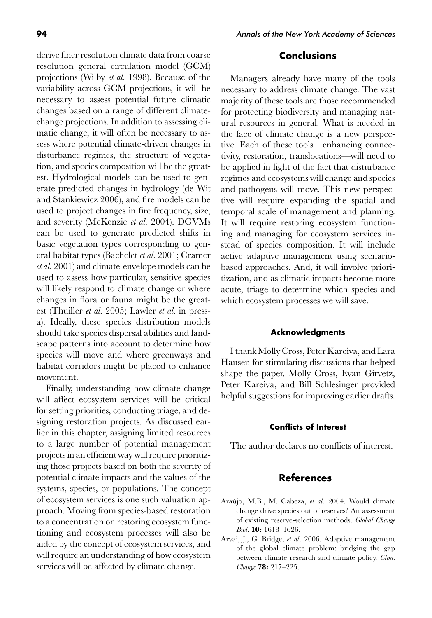derive finer resolution climate data from coarse resolution general circulation model (GCM) projections (Wilby *et al.* 1998). Because of the variability across GCM projections, it will be necessary to assess potential future climatic changes based on a range of different climatechange projections. In addition to assessing climatic change, it will often be necessary to assess where potential climate-driven changes in disturbance regimes, the structure of vegetation, and species composition will be the greatest. Hydrological models can be used to generate predicted changes in hydrology (de Wit and Stankiewicz 2006), and fire models can be used to project changes in fire frequency, size, and severity (McKenzie *et al.* 2004). DGVMs can be used to generate predicted shifts in basic vegetation types corresponding to general habitat types (Bachelet *et al.* 2001; Cramer *et al.* 2001) and climate-envelope models can be used to assess how particular, sensitive species will likely respond to climate change or where changes in flora or fauna might be the greatest (Thuiller *et al.* 2005; Lawler *et al.* in pressa). Ideally, these species distribution models should take species dispersal abilities and landscape patterns into account to determine how species will move and where greenways and habitat corridors might be placed to enhance movement.

Finally, understanding how climate change will affect ecosystem services will be critical for setting priorities, conducting triage, and designing restoration projects. As discussed earlier in this chapter, assigning limited resources to a large number of potential management projects in an efficient way will require prioritizing those projects based on both the severity of potential climate impacts and the values of the systems, species, or populations. The concept of ecosystem services is one such valuation approach. Moving from species-based restoration to a concentration on restoring ecosystem functioning and ecosystem processes will also be aided by the concept of ecosystem services, and will require an understanding of how ecosystem services will be affected by climate change.

# **Conclusions**

Managers already have many of the tools necessary to address climate change. The vast majority of these tools are those recommended for protecting biodiversity and managing natural resources in general. What is needed in the face of climate change is a new perspective. Each of these tools—enhancing connectivity, restoration, translocations—will need to be applied in light of the fact that disturbance regimes and ecosystems will change and species and pathogens will move. This new perspective will require expanding the spatial and temporal scale of management and planning. It will require restoring ecosystem functioning and managing for ecosystem services instead of species composition. It will include active adaptive management using scenariobased approaches. And, it will involve prioritization, and as climatic impacts become more acute, triage to determine which species and which ecosystem processes we will save.

## **Acknowledgments**

I thank Molly Cross, Peter Kareiva, and Lara Hansen for stimulating discussions that helped shape the paper. Molly Cross, Evan Girvetz, Peter Kareiva, and Bill Schlesinger provided helpful suggestions for improving earlier drafts.

## **Conflicts of Interest**

The author declares no conflicts of interest.

# **References**

- Araújo, M.B., M. Cabeza, et al. 2004. Would climate change drive species out of reserves? An assessment of existing reserve-selection methods. *Global Change Biol.* **10:** 1618–1626.
- Arvai, J., G. Bridge, *et al*. 2006. Adaptive management of the global climate problem: bridging the gap between climate research and climate policy. *Clim. Change* **78:** 217–225.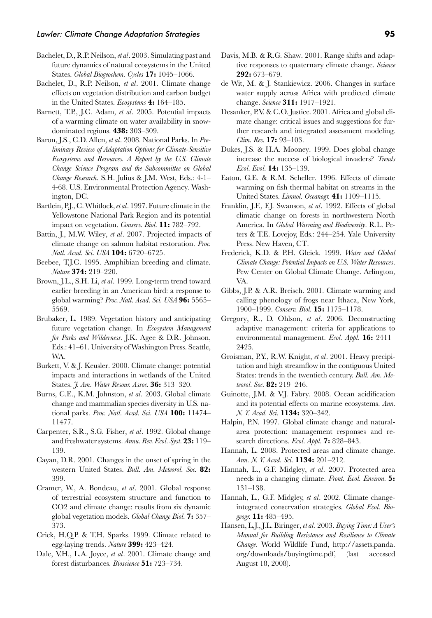#### Lawler: Climate Change Adaptation Strategies **95**

- Bachelet, D., R.P. Neilson, *et al*. 2003. Simulating past and future dynamics of natural ecosystems in the United States. *Global Biogeochem. Cycles* **17:** 1045–1066.
- Bachelet, D., R.P. Neilson, *et al*. 2001. Climate change effects on vegetation distribution and carbon budget in the United States. *Ecosystems* **4:** 164–185.
- Barnett, T.P., J.C. Adam, *et al*. 2005. Potential impacts of a warming climate on water availability in snowdominated regions. **438:** 303–309.
- Baron, J.S., C.D. Allen, *et al*. 2008. National Parks. In *Preliminary Review of Adaptation Options for Climate-Sensitive Ecosystems and Resources. A Report by the U.S. Climate Change Science Program and the Subcommittee on Global Change Research*. S.H. Julius & J.M. West, Eds.: 4-1– 4-68. U.S. Environmental Protection Agency. Washington, DC.
- Bartlein, P.J., C.Whitlock, *et al*. 1997. Future climate in the Yellowstone National Park Region and its potential impact on vegetation. *Conserv. Biol.* **11:** 782–792.
- Battin, J., M.W. Wiley, *et al*. 2007. Projected impacts of climate change on salmon habitat restoration. *Proc. Natl. Acad. Sci. USA* **104:** 6720–6725.
- Beebee, T.J.C. 1995. Amphibian breeding and climate. *Nature* **374:** 219–220.
- Brown, J.L., S.H. Li, *et al*. 1999. Long-term trend toward earlier breeding in an American bird: a response to global warming? *Proc. Natl. Acad. Sci. USA* **96:** 5565– 5569.
- Brubaker, L. 1989. Vegetation history and anticipating future vegetation change. In *Ecosystem Management for Parks and Wilderness*. J.K. Agee & D.R. Johnson, Eds.: 41–61. University of Washington Press. Seattle, WA.
- Burkett, V. & J. Keusler. 2000. Climate change: potential impacts and interactions in wetlands of the United States. *J. Am. Water Resour. Assoc.* **36:** 313–320.
- Burns, C.E., K.M. Johnston, *et al*. 2003. Global climate change and mammalian species diversity in U.S. national parks. *Proc. Natl. Acad. Sci. USA* **100:** 11474– 11477.
- Carpenter, S.R., S.G. Fisher, *et al*. 1992. Global change and freshwater systems. *Annu. Rev. Ecol. Syst.* **23:** 119– 139.
- Cayan, D.R. 2001. Changes in the onset of spring in the western United States. *Bull. Am. Meteorol. Soc.* **82:** 399.
- Cramer, W., A. Bondeau, *et al*. 2001. Global response of terrestrial ecosystem structure and function to CO2 and climate change: results from six dynamic global vegetation models. *Global Change Biol.* **7:** 357– 373.
- Crick, H.Q.P. & T.H. Sparks. 1999. Climate related to egg-laying trends. *Nature* **399:** 423–424.
- Dale, V.H., L.A. Joyce, *et al*. 2001. Climate change and forest disturbances. *Bioscience* **51:** 723–734.
- Davis, M.B. & R.G. Shaw. 2001. Range shifts and adaptive responses to quaternary climate change. *Science* **292:** 673–679.
- de Wit, M. & J. Stankiewicz. 2006. Changes in surface water supply across Africa with predicted climate change. *Science* **311:** 1917–1921.
- Desanker, P.V. & C.O. Justice. 2001. Africa and global climate change: critical issues and suggestions for further research and integrated assessment modeling. *Clim. Res.* **17:** 93–103.
- Dukes, J.S. & H.A. Mooney. 1999. Does global change increase the success of biological invaders? *Trends Ecol. Evol.* **14:** 135–139.
- Eaton, G.E. & R.M. Scheller. 1996. Effects of climate warming on fish thermal habitat on streams in the United States. *Limnol. Oceanogr.* **41:** 1109–1115.
- Franklin, J.F., F.J. Swanson, *et al*. 1992. Effects of global climatic change on forests in northwestern North America. In *Global Warming and Biodiversity*. R.L. Peters & T.E. Lovejoy, Eds.: 244–254. Yale University Press. New Haven, CT.
- Frederick, K.D. & P.H. Gleick. 1999. *Water and Global Climate Change: Potential Impacts on U.S. Water Resources*. Pew Center on Global Climate Change. Arlington, VA.
- Gibbs, J.P. & A.R. Breisch. 2001. Climate warming and calling phenology of frogs near Ithaca, New York, 1900–1999. *Conserv. Biol.* **15:** 1175–1178.
- Gregory, R., D. Ohlson, *et al*. 2006. Deconstructing adaptive management: criteria for applications to environmental management. *Ecol. Appl.* **16:** 2411– 2425.
- Groisman, P.Y., R.W. Knight, *et al*. 2001. Heavy precipitation and high streamflow in the contiguous United States: trends in the twentieth century. *Bull. Am. Meteorol. Soc.* **82:** 219–246.
- Guinotte, J.M. & V.J. Fabry. 2008. Ocean acidification and its potential effects on marine ecosystems. *Ann. N. Y. Acad. Sci.* **1134:** 320–342.
- Halpin, P.N. 1997. Global climate change and naturalarea protection: management responses and research directions. *Ecol. Appl.* **7:** 828–843.
- Hannah, L. 2008. Protected areas and climate change. *Ann. N. Y. Acad. Sci.* **1134:** 201–212.
- Hannah, L., G.F. Midgley, *et al*. 2007. Protected area needs in a changing climate. *Front. Ecol. Environ.* **5:** 131–138.
- Hannah, L., G.F. Midgley, *et al*. 2002. Climate changeintegrated conservation strategies. *Global Ecol. Biogeogr.* **11:** 485–495.
- Hansen, L.J., J.L. Biringer, *et al*. 2003. *Buying Time: A User's Manual for Building Resistance and Resilience to Climate Change*. World Wildlife Fund, http://assets.panda. org/downloads/buyingtime.pdf, (last accessed August 18, 2008).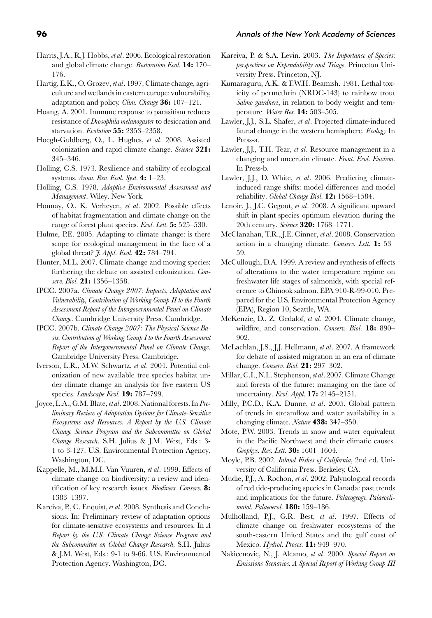- Harris, J.A., R.J. Hobbs, *et al*. 2006. Ecological restoration and global climate change. *Restoration Ecol.* **14:** 170– 176.
- Hartig, E.K., O. Grozev, *et al*. 1997. Climate change, agriculture and wetlands in eastern europe: vulnerability, adaptation and policy. *Clim. Change* **36:** 107–121.
- Hoang, A. 2001. Immune response to parasitism reduces resistance of *Drosophila melanogaster* to desiccation and starvation. *Evolution* **55:** 2353–2358.
- Hoegh-Guldberg, O., L. Hughes, *et al*. 2008. Assisted colonization and rapid climate change. *Science* **321:** 345–346.
- Holling, C.S. 1973. Resilience and stability of ecological systems. *Annu. Rev. Ecol. Syst.* **4:** 1–23.
- Holling, C.S. 1978. *Adaptive Environmental Assessment and Management*. Wiley. New York.
- Honnay, O., K. Verheyen, *et al*. 2002. Possible effects of habitat fragmentation and climate change on the range of forest plant species. *Ecol. Lett.* **5:** 525–530.
- Hulme, P.E. 2005. Adapting to climate change: is there scope for ecological management in the face of a global threat? *J. Appl. Ecol.* **42:** 784–794.
- Hunter, M.L. 2007. Climate change and moving species: furthering the debate on assisted colonization. *Conserv. Biol.* **21:** 1356–1358.
- IPCC. 2007a. *Climate Change 2007: Impacts, Adaptation and Vulnerability, Contribution of Working Group II to the Fourth Assessment Report of the Intergovernmental Panel on Climate Change*. Cambridge University Press. Cambridge.
- IPCC. 2007b. *Climate Change 2007: The Physical Science Basis. Contribution of Working Group I to the Fourth Assessment Report of the Intergovernmental Panel on Climate Change*. Cambridge University Press. Cambridge.
- Iverson, L.R., M.W. Schwartz, *et al*. 2004. Potential colonization of new available tree species habitat under climate change an analysis for five eastern US species. *Landscape Ecol.* **19:** 787–799.
- Joyce, L.A., G.M. Blate,*et al*. 2008. National forests. In *Preliminary Review of Adaptation Options for Climate-Sensitive Ecosystems and Resources. A Report by the U.S. Climate Change Science Program and the Subcommittee on Global Change Research*. S.H. Julius & J.M. West, Eds.: 3- 1 to 3-127. U.S. Environmental Protection Agency. Washington, DC.
- Kappelle, M., M.M.I. Van Vuuren, *et al*. 1999. Effects of climate change on biodiversity: a review and identification of key research issues. *Biodivers. Conserv.* **8:** 1383–1397.
- Kareiva, P., C. Enquist, *et al*. 2008. Synthesis and Conclusions. In: Preliminary review of adaptation options for climate-sensitive ecosystems and resources. In *A Report by the U.S. Climate Change Science Program and the Subcommittee on Global Change Research*. S.H. Julius & J.M. West, Eds.: 9-1 to 9-66. U.S. Environmental Protection Agency. Washington, DC.
- Kareiva, P. & S.A. Levin. 2003. *The Importance of Species: perspectives on Expendability and Triage*. Princeton University Press. Princeton, NJ.
- Kumaraguru, A.K. & F.W.H. Beamish. 1981. Lethal toxicity of permethrin (NRDC-143) to rainbow trout *Salmo gairdneri*, in relation to body weight and temperature. *Water Res.* **14:** 503–505.
- Lawler, J.J., S.L. Shafer, *et al*. Projected climate-induced faunal change in the western hemisphere. *Ecology* In Press-a.
- Lawler, J.J., T.H. Tear, *et al*. Resource management in a changing and uncertain climate. *Front. Ecol. Environ.* In Press-b.
- Lawler, J.J., D. White, *et al*. 2006. Predicting climateinduced range shifts: model differences and model reliability. *Global Change Biol.* **12:** 1568–1584.
- Lenoir, J., J.C. Gegout, *et al*. 2008. A significant upward shift in plant species optimum elevation during the 20th century. *Science* **320:** 1768–1771.
- McClanahan, T.R., J.E. Cinner, *et al*. 2008. Conservation action in a changing climate. *Conserv. Lett.* **1:** 53– 59.
- McCullough, D.A. 1999. A review and synthesis of effects of alterations to the water temperature regime on freshwater life stages of salmonids, with special reference to Chinook salmon. EPA 910-R-99-010, Prepared for the U.S. Environmental Protection Agency (EPA), Region 10, Seattle, WA.
- McKenzie, D., Z. Gedalof, *et al*. 2004. Climate change, wildfire, and conservation. *Conserv. Biol.* **18:** 890– 902.
- McLachlan, J.S., J.J. Hellmann, *et al*. 2007. A framework for debate of assisted migration in an era of climate change. *Conserv. Biol.* **21:** 297–302.
- Millar, C.I., N.L. Stephenson, *et al*. 2007. Climate Change and forests of the future: managing on the face of uncertainty. *Ecol. Appl.* **17:** 2145–2151.
- Milly, P.C.D., K.A. Dunne, *et al*. 2005. Global pattern of trends in streamflow and water availability in a changing climate. *Nature* **438:** 347–350.
- Mote, P.W. 2003. Trends in snow and water equivalent in the Pacific Northwest and their climatic causes. *Geophys. Res. Lett.* **30:** 1601–1604.
- Moyle, P.B. 2002. *Inland Fishes of California,* 2nd ed. University of California Press. Berkeley, CA.
- Mudie, P.J., A. Rochon, *et al*. 2002. Palynological records of red tide-producing species in Canada: past trends and implications for the future. *Palaeogeogr. Palaeoclimatol. Palaeoecol.* **180:** 159–186.
- Mulholland, P.J., G.R. Best, *et al*. 1997. Effects of climate change on freshwater ecosystems of the south-eastern United States and the gulf coast of Mexico. *Hydrol. Proces.* **11:** 949–970.
- Nakicenovic, N., J. Alcamo, *et al*. 2000. *Special Report on Emissions Scenarios. A Special Report of Working Group III*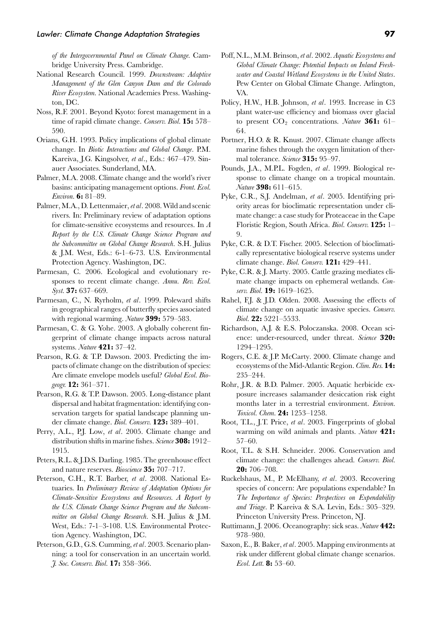*of the Intergovernmental Panel on Climate Change.* Cambridge University Press. Cambridge.

- National Research Council. 1999. *Downstream: Adaptive Management of the Glen Canyon Dam and the Colorado River Ecosystem*. National Academies Press. Washington, DC.
- Noss, R.F. 2001. Beyond Kyoto: forest management in a time of rapid climate change. *Conserv. Biol.* **15:** 578– 590.
- Orians, G.H. 1993. Policy implications of global climate change. In *Biotic Interactions and Global Change*. P.M. Kareiva, J.G. Kingsolver, *et al*., Eds.: 467–479. Sinauer Associates. Sunderland, MA.
- Palmer, M.A. 2008. Climate change and the world's river basins: anticipating management options. *Front. Ecol. Environ.* **6:** 81–89.
- Palmer, M.A., D. Lettenmaier, *et al*. 2008. Wild and scenic rivers. In: Preliminary review of adaptation options for climate-sensitive ecosystems and resources. In *A Report by the U.S. Climate Change Science Program and the Subcommittee on Global Change Research*. S.H. Julius & J.M. West, Eds.: 6-1–6-73. U.S. Environmental Protection Agency. Washington, DC.
- Parmesan, C. 2006. Ecological and evolutionary responses to recent climate change. *Annu. Rev. Ecol. Syst.* **37:** 637–669.
- Parmesan, C., N. Ryrholm, *et al*. 1999. Poleward shifts in geographical ranges of butterfly species associated with regional warming. *Nature* **399:** 579–583.
- Parmesan, C. & G. Yohe. 2003. A globally coherent fingerprint of climate change impacts across natural systems. *Nature* **421:** 37–42.
- Pearson, R.G. & T.P. Dawson. 2003. Predicting the impacts of climate change on the distribution of species: Are climate envelope models useful? *Global Ecol. Biogeogr.* **12:** 361–371.
- Pearson, R.G. & T.P. Dawson. 2005. Long-distance plant dispersal and habitat fragmentation: identifying conservation targets for spatial landscape planning under climate change. *Biol. Conserv.* **123:** 389–401.
- Perry, A.L., P.J. Low, *et al*. 2005. Climate change and distribution shifts in marine fishes. *Science* **308:** 1912– 1915.
- Peters, R.L. & J.D.S. Darling. 1985. The greenhouse effect and nature reserves. *Bioscience* **35:** 707–717.
- Peterson, C.H., R.T. Barber, *et al*. 2008. National Estuaries. In *Preliminary Review of Adaptation Options for Climate-Sensitive Ecosystems and Resources. A Report by the U.S. Climate Change Science Program and the Subcommittee on Global Change Research*. S.H. Julius & J.M. West, Eds.: 7-1–3-108. U.S. Environmental Protection Agency. Washington, DC.
- Peterson, G.D., G.S. Cumming, *et al*. 2003. Scenario planning: a tool for conservation in an uncertain world. *J. Soc. Conserv. Biol.* **17:** 358–366.
- Poff, N.L., M.M. Brinson, *et al*. 2002. *Aquatic Ecosystems and Global Climate Change: Potential Impacts on Inland Freshwater and Coastal Wetland Ecosystems in the United States*. Pew Center on Global Climate Change. Arlington, VA.
- Policy, H.W., H.B. Johnson, *et al*. 1993. Increase in C3 plant water-use efficiency and biomass over glacial to present  $CO_2$  concentrations. *Nature* **361:** 61– 64.
- Portner, H.O. & R. Knust. 2007. Climate change affects marine fishes through the oxygen limitation of thermal tolerance. *Science* **315:** 95–97.
- Pounds, J.A., M.P.L. Fogden, *et al*. 1999. Biological response to climate change on a tropical mountain. *Nature* **398:** 611–615.
- Pyke, C.R., S.J. Andelman, *et al*. 2005. Identifying priority areas for bioclimatic representation under climate change: a case study for Proteaceae in the Cape Floristic Region, South Africa. *Biol. Conserv.* **125:** 1– 9.
- Pyke, C.R. & D.T. Fischer. 2005. Selection of bioclimatically representative biological reserve systems under climate change. *Biol. Conserv.* **121:** 429–441.
- Pyke, C.R. & J. Marty. 2005. Cattle grazing mediates climate change impacts on ephemeral wetlands. *Conserv. Biol.* **19:** 1619–1625.
- Rahel, F.J. & J.D. Olden. 2008. Assessing the effects of climate change on aquatic invasive species. *Conserv. Biol.* **22:** 5221–5533.
- Richardson, A.J. & E.S. Poloczanska. 2008. Ocean science: under-resourced, under threat. *Science* **320:** 1294–1295.
- Rogers, C.E. & J.P. McCarty. 2000. Climate change and ecosystems of the Mid-Atlantic Region. *Clim. Res.* **14:** 235–244.
- Rohr, J.R. & B.D. Palmer. 2005. Aquatic herbicide exposure increases salamander desiccation risk eight months later in a terrestrial environment. *Environ. Toxicol. Chem.* **24:** 1253–1258.
- Root, T.L., J.T. Price, *et al*. 2003. Fingerprints of global warming on wild animals and plants. *Nature* **421:** 57–60.
- Root, T.L. & S.H. Schneider. 2006. Conservation and climate change: the challenges ahead. *Conserv. Biol.* **20:** 706–708.
- Ruckelshaus, M., P. McElhany, *et al*. 2003. Recovering species of concern: Are populations expendable? In *The Importance of Species: Perspectives on Expendability and Triage*. P. Kareiva & S.A. Levin, Eds.: 305–329. Princeton University Press. Princeton, NJ.
- Ruttimann, J. 2006. Oceanography: sick seas. *Nature* **442:** 978–980.
- Saxon, E., B. Baker, *et al*. 2005. Mapping environments at risk under different global climate change scenarios. *Ecol. Lett.* **8:** 53–60.